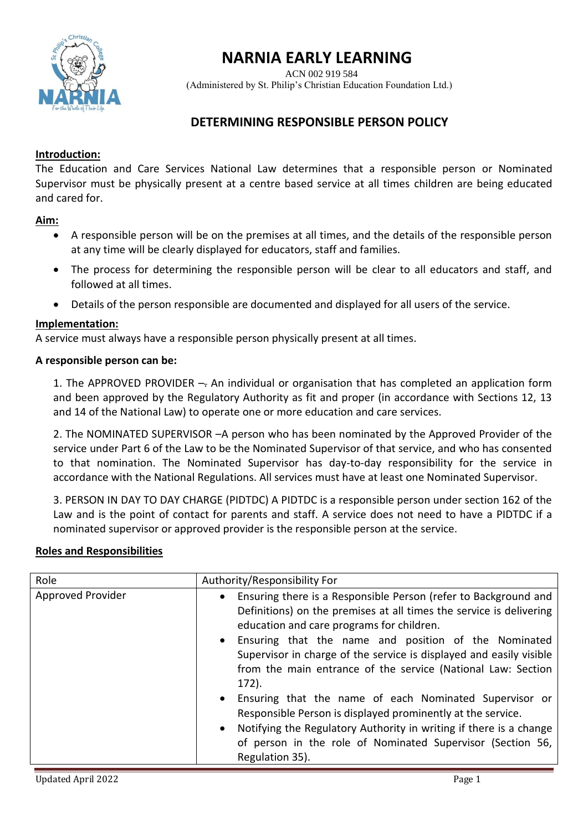

# **NARNIA EARLY LEARNING**

ACN 002 919 584

(Administered by St. Philip's Christian Education Foundation Ltd.)

# **DETERMINING RESPONSIBLE PERSON POLICY**

## **Introduction:**

The Education and Care Services National Law determines that a responsible person or Nominated Supervisor must be physically present at a centre based service at all times children are being educated and cared for.

# **Aim:**

- A responsible person will be on the premises at all times, and the details of the responsible person at any time will be clearly displayed for educators, staff and families.
- The process for determining the responsible person will be clear to all educators and staff, and followed at all times.
- Details of the person responsible are documented and displayed for all users of the service.

### **Implementation:**

A service must always have a responsible person physically present at all times.

#### **A responsible person can be:**

1. The APPROVED PROVIDER -- An individual or organisation that has completed an application form and been approved by the Regulatory Authority as fit and proper (in accordance with Sections 12, 13 and 14 of the National Law) to operate one or more education and care services.

2. The NOMINATED SUPERVISOR –A person who has been nominated by the Approved Provider of the service under Part 6 of the Law to be the Nominated Supervisor of that service, and who has consented to that nomination. The Nominated Supervisor has day-to-day responsibility for the service in accordance with the National Regulations. All services must have at least one Nominated Supervisor.

3. PERSON IN DAY TO DAY CHARGE (PIDTDC) A PIDTDC is a responsible person under section 162 of the Law and is the point of contact for parents and staff. A service does not need to have a PIDTDC if a nominated supervisor or approved provider is the responsible person at the service.

### **Roles and Responsibilities**

| Role              | Authority/Responsibility For                                                                                                                                                                                                                                                                                                                                                                                                                                                                                                                                                                                                                                                         |
|-------------------|--------------------------------------------------------------------------------------------------------------------------------------------------------------------------------------------------------------------------------------------------------------------------------------------------------------------------------------------------------------------------------------------------------------------------------------------------------------------------------------------------------------------------------------------------------------------------------------------------------------------------------------------------------------------------------------|
| Approved Provider | Ensuring there is a Responsible Person (refer to Background and<br>Definitions) on the premises at all times the service is delivering<br>education and care programs for children.<br>• Ensuring that the name and position of the Nominated<br>Supervisor in charge of the service is displayed and easily visible<br>from the main entrance of the service (National Law: Section<br>$172$ ).<br>• Ensuring that the name of each Nominated Supervisor or<br>Responsible Person is displayed prominently at the service.<br>• Notifying the Regulatory Authority in writing if there is a change<br>of person in the role of Nominated Supervisor (Section 56,<br>Regulation 35). |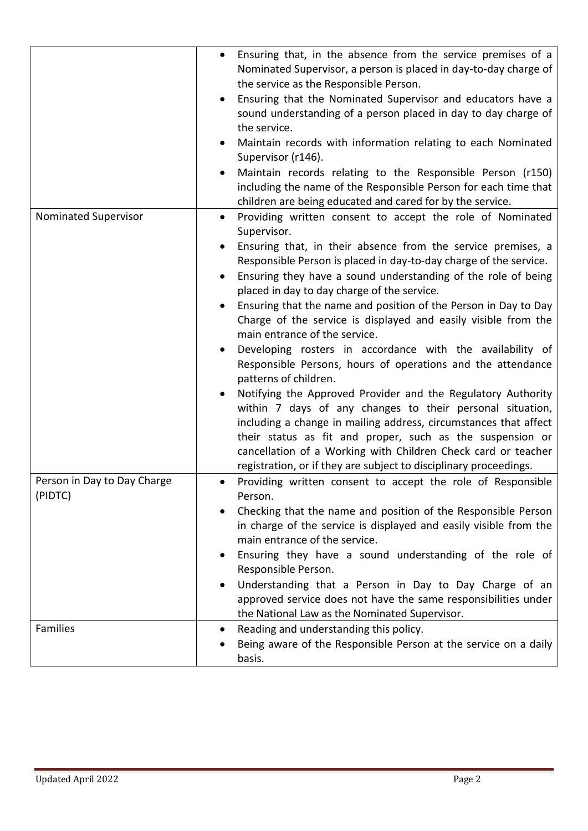|                             | Ensuring that, in the absence from the service premises of a<br>$\bullet$<br>Nominated Supervisor, a person is placed in day-to-day charge of<br>the service as the Responsible Person.<br>Ensuring that the Nominated Supervisor and educators have a<br>sound understanding of a person placed in day to day charge of<br>the service.<br>Maintain records with information relating to each Nominated<br>Supervisor (r146).                                                                                                                                               |
|-----------------------------|------------------------------------------------------------------------------------------------------------------------------------------------------------------------------------------------------------------------------------------------------------------------------------------------------------------------------------------------------------------------------------------------------------------------------------------------------------------------------------------------------------------------------------------------------------------------------|
|                             | Maintain records relating to the Responsible Person (r150)<br>including the name of the Responsible Person for each time that                                                                                                                                                                                                                                                                                                                                                                                                                                                |
| Nominated Supervisor        | children are being educated and cared for by the service.<br>Providing written consent to accept the role of Nominated<br>Supervisor.                                                                                                                                                                                                                                                                                                                                                                                                                                        |
|                             | Ensuring that, in their absence from the service premises, a<br>Responsible Person is placed in day-to-day charge of the service.<br>Ensuring they have a sound understanding of the role of being<br>placed in day to day charge of the service.<br>Ensuring that the name and position of the Person in Day to Day<br>Charge of the service is displayed and easily visible from the<br>main entrance of the service.<br>Developing rosters in accordance with the availability of<br>Responsible Persons, hours of operations and the attendance<br>patterns of children. |
|                             | Notifying the Approved Provider and the Regulatory Authority<br>within 7 days of any changes to their personal situation,<br>including a change in mailing address, circumstances that affect<br>their status as fit and proper, such as the suspension or<br>cancellation of a Working with Children Check card or teacher<br>registration, or if they are subject to disciplinary proceedings.                                                                                                                                                                             |
| Person in Day to Day Charge | Providing written consent to accept the role of Responsible                                                                                                                                                                                                                                                                                                                                                                                                                                                                                                                  |
| (PIDTC)                     | Person.<br>Checking that the name and position of the Responsible Person<br>in charge of the service is displayed and easily visible from the<br>main entrance of the service.<br>Ensuring they have a sound understanding of the role of<br>Responsible Person.                                                                                                                                                                                                                                                                                                             |
|                             | Understanding that a Person in Day to Day Charge of an<br>approved service does not have the same responsibilities under<br>the National Law as the Nominated Supervisor.                                                                                                                                                                                                                                                                                                                                                                                                    |
| Families                    | Reading and understanding this policy.<br>٠<br>Being aware of the Responsible Person at the service on a daily<br>basis.                                                                                                                                                                                                                                                                                                                                                                                                                                                     |